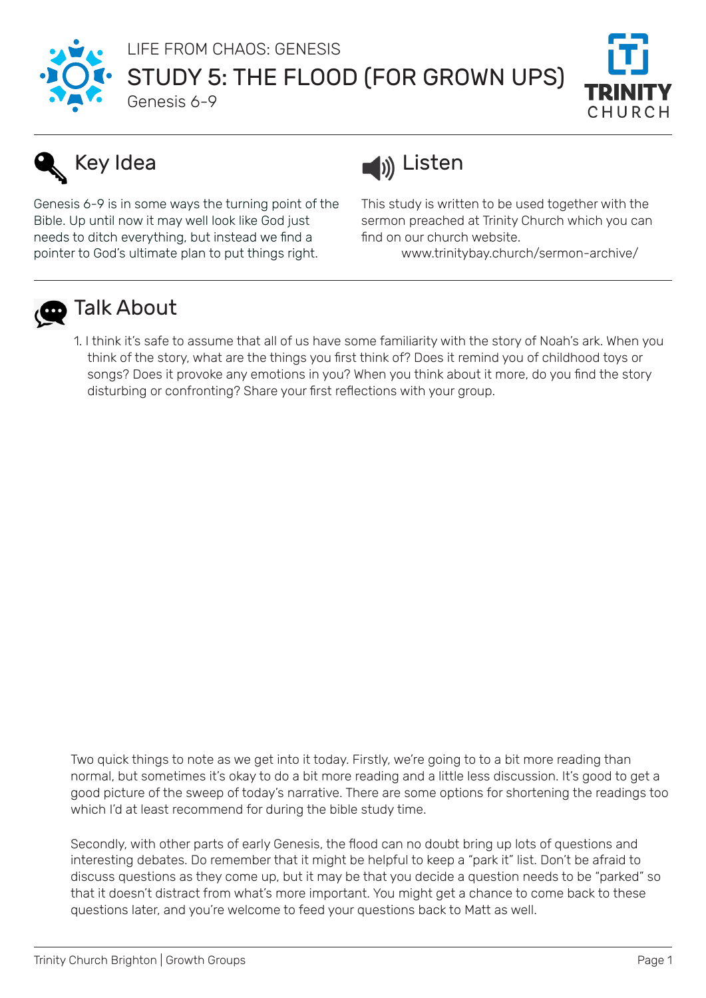

STUDY 5: THE FLOOD (FOR GROWN UPS) LIFE FROM CHAOS: GENESIS



# Key Idea

Genesis 6-9 is in some ways the turning point of the Bible. Up until now it may well look like God just needs to ditch everything, but instead we find a pointer to God's ultimate plan to put things right.

Genesis 6-9



This study is written to be used together with the sermon preached at Trinity Church which you can find on our church website.

www.trinitybay.church/sermon-archive/



## **D** Talk About

1. I think it's safe to assume that all of us have some familiarity with the story of Noah's ark. When you think of the story, what are the things you first think of? Does it remind you of childhood toys or songs? Does it provoke any emotions in you? When you think about it more, do you find the story disturbing or confronting? Share your first reflections with your group.

Two quick things to note as we get into it today. Firstly, we're going to to a bit more reading than normal, but sometimes it's okay to do a bit more reading and a little less discussion. It's good to get a good picture of the sweep of today's narrative. There are some options for shortening the readings too which I'd at least recommend for during the bible study time.

Secondly, with other parts of early Genesis, the flood can no doubt bring up lots of questions and interesting debates. Do remember that it might be helpful to keep a "park it" list. Don't be afraid to discuss questions as they come up, but it may be that you decide a question needs to be "parked" so that it doesn't distract from what's more important. You might get a chance to come back to these questions later, and you're welcome to feed your questions back to Matt as well.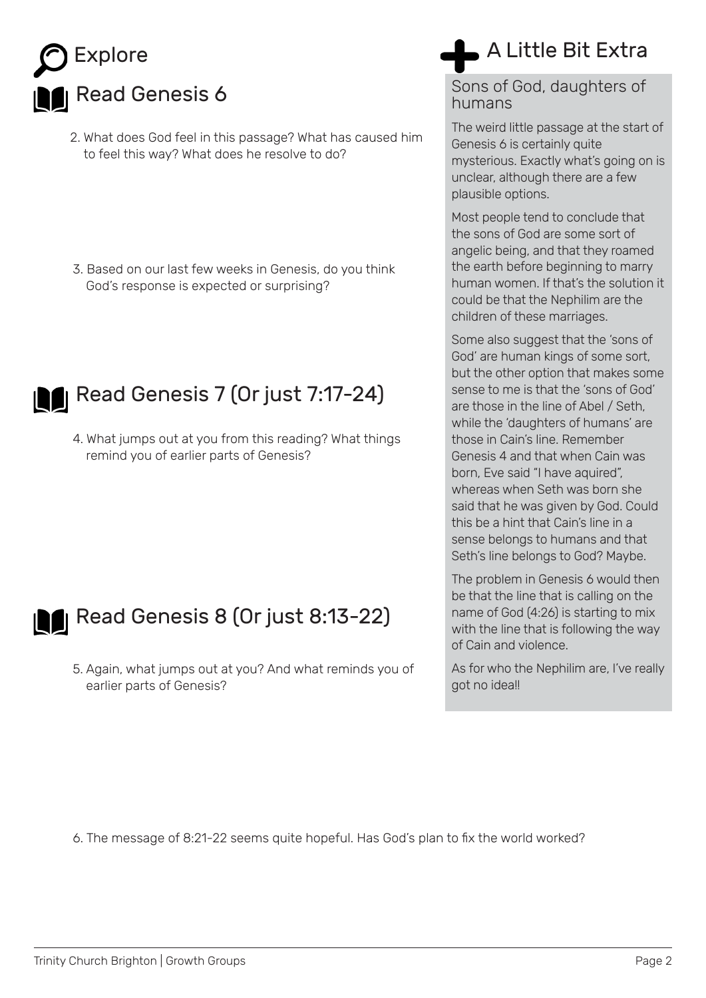

- 2. What does God feel in this passage? What has caused him to feel this way? What does he resolve to do?
- 3. Based on our last few weeks in Genesis, do you think God's response is expected or surprising?



**Read Genesis 7 (Or just 7:17-24)** 

4. What jumps out at you from this reading? What things remind you of earlier parts of Genesis?

## A Little Bit Extra

#### Sons of God, daughters of humans

The weird little passage at the start of Genesis 6 is certainly quite mysterious. Exactly what's going on is unclear, although there are a few plausible options.

Most people tend to conclude that the sons of God are some sort of angelic being, and that they roamed the earth before beginning to marry human women. If that's the solution it could be that the Nephilim are the children of these marriages.

Some also suggest that the 'sons of God' are human kings of some sort, but the other option that makes some sense to me is that the 'sons of God' are those in the line of Abel / Seth, while the 'daughters of humans' are those in Cain's line. Remember Genesis 4 and that when Cain was born, Eve said "I have aquired", whereas when Seth was born she said that he was given by God. Could this be a hint that Cain's line in a sense belongs to humans and that Seth's line belongs to God? Maybe.



## **Read Genesis 8 (Or just 8:13-22)**

5. Again, what jumps out at you? And what reminds you of earlier parts of Genesis?

be that the line that is calling on the name of God (4:26) is starting to mix with the line that is following the way of Cain and violence.

The problem in Genesis 6 would then

As for who the Nephilim are, I've really got no idea!!

6. The message of 8:21-22 seems quite hopeful. Has God's plan to fix the world worked?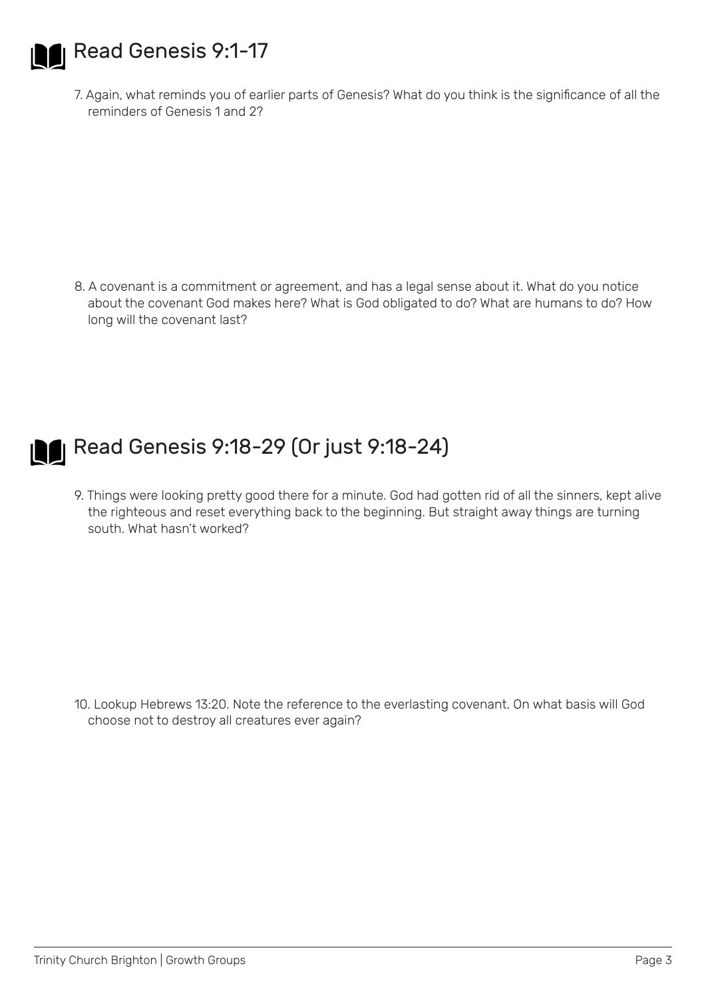

**Read Genesis 9:1-17** 

7. Again, what reminds you of earlier parts of Genesis? What do you think is the significance of all the reminders of Genesis 1 and 2?

8. A covenant is a commitment or agreement, and has a legal sense about it. What do you notice about the covenant God makes here? What is God obligated to do? What are humans to do? How long will the covenant last?



## **Read Genesis 9:18-29 (Or just 9:18-24)**

9. Things were looking pretty good there for a minute. God had gotten rid of all the sinners, kept alive the righteous and reset everything back to the beginning. But straight away things are turning south. What hasn't worked?

10. Lookup Hebrews 13:20. Note the reference to the everlasting covenant. On what basis will God choose not to destroy all creatures ever again?